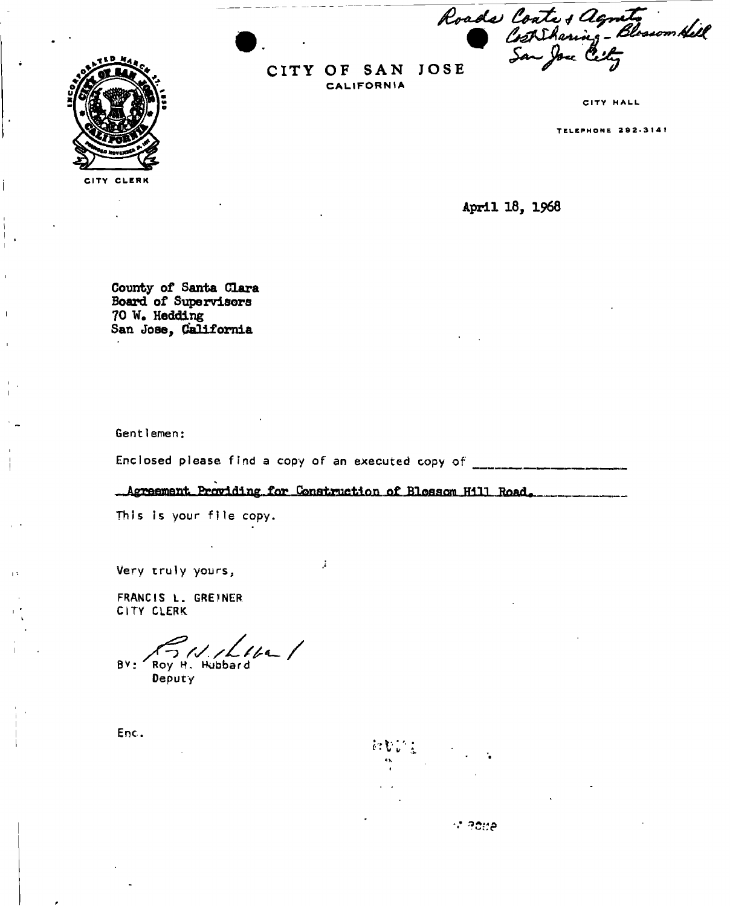*S^JU'&if*   $\sum_{i=1}^{n}$ 



CITY OF SAN JOSE CALIFORNIA

CITY HALL

**TELEPHONE 292-3141** 

April 18, 1968

County of Santa Clara Board of Supervisors 70 W. Hedding San Jose, California

Gentlemen :

Enclosed please find a copy of an executed copy of \_\_\_\_\_\_\_\_\_\_\_\_\_\_\_\_\_\_\_\_\_\_\_\_\_\_\_\_\_\_

... Agreement Providing for Construction of Blosson Hill Road.

 $\mathcal{I}$ 

This is your file copy.

Very truly yours ,

FRANCIS L. GREINER CITY CLERK

 $16 - 1$ BV: Roy H. Hubbard

Deputy

*c.v:* 

ේ අදහුල

Enc.

 $\overline{1}$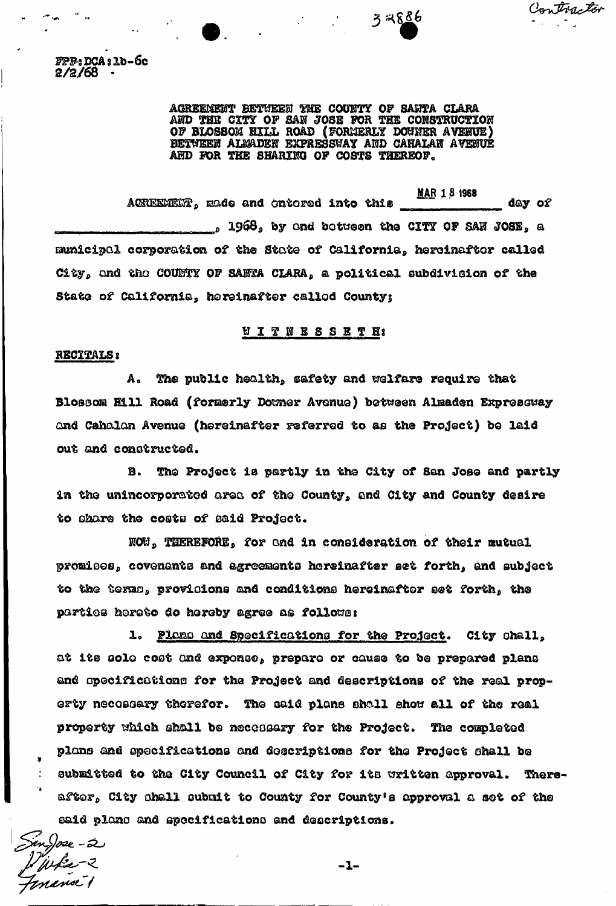Contractor

FPP-3 DCA § lb-6c **2/2/68 •** 

> AGREEMENT BETWEEN THE COUNTY OF SANTA CLARA AND THE CITY OF SAN JOSE FOR THE CONSTRUCTION OF BLOSSOM BILL ROAD (FORMERLY DOCKER AYEBUE) BETWEEK ALMADEN EXPRESSWAY AND CAHALAN AVENUE AHD FOR THE SHARIKG OF COSTS THEREOF,

32886

WAR 1 8 1968 AGREEMENT, made and entered into this information of  $_2$  1968 $_2$  by and between the CITY OF SAH JOSE, a municipal corporation of the State of California, hereinafter called City, and the COUNTY OF SANTA CLARA, a political subdivision of the State of California, hereinafter called County;

## **HIT NESSET H:**

## RECITALS 8

A. The public health, safety and welfare require that Blossom Hill Road (formerly Domer Avenue) between Almaden Expressway and Cahalan Avenue (hereinafter referred to as the Project) be laid out and constructed.

B. The Project is partly in the City of San Jose and partly in the unincorporated area of the County, and City and County desire to share the coots of said Project.

NOW, THEREFORE, for and in consideration of their mutual promises, covenants and agreements hereinafter set forth, and subject to the terms, provisions and conditions hereinafter set forth, the parties horeto do hereby agree as follows:

1. Plans and Specifications for the Project. City shall, at its solo cost and exponse, prepare or cause to be prepared plans and specifications for the Project and descriptions of the real property necessary therefor. The said plane shall show ell of the real property which shall be necessary for the Project. The completed plans and opacifications and descriptions for the Project shall be submitted to the City Council of City for its written approval. Thereafter, City shall submit to County for County's approval a set of the said piano and specifications and descriptions.

en<sub>ijom</sub><br>! ju fiz - 2<br>! namel 1

 $-1-$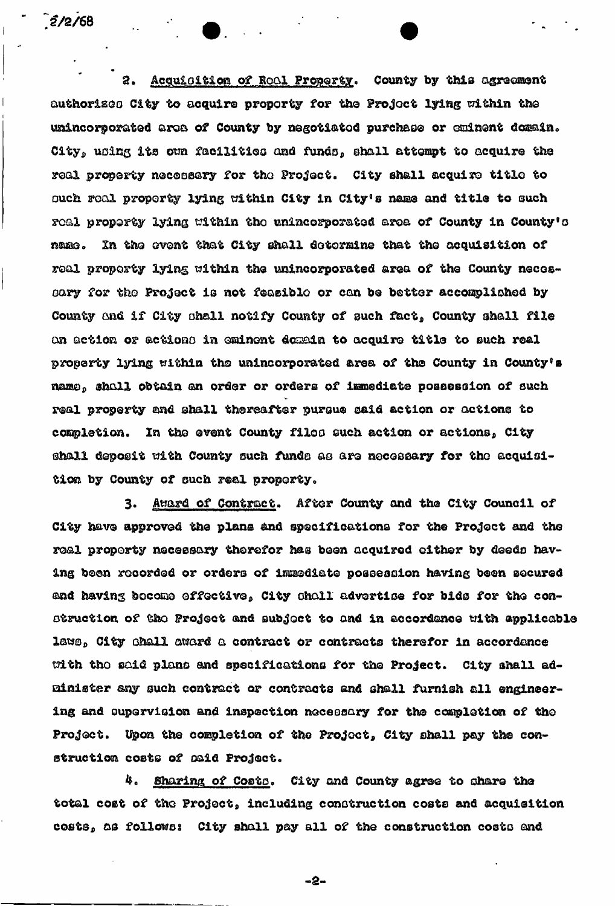$2/2/68$ 

2. Acquisition of Real Property. County by this agreement authorizes City to acquire proporty for the Project lying within the unincorporated area of County by negotiated purchase or eminent domain. City, using its own facilities and funds, shall attempt to acquire the real property necessary for tha Project, City shall acquire titlo to ouch real property lying within City in City's name and title to such real property lying within tho unincorporated area of County in County's name. In the event that City shall determine that the acquisition of real property lying within the unincorporated area of the County necoseary for tho Project 1**B** not feasible or can be better accomplished by County and if City shall notify County of such fact, County shall file on action or actions in eminent domain to acquire title to such real property lying within tho unincorporated area of the County in County's name, shall obtain an order or orders of immediate possession of such real property and shall thereafter pursue said action or actions to completion. In the event County filos such action or actions, City ©hall deposit with County ouch funds as are necessary for tho acquisition by County of such real property.

3. Award of Contract. After County and the City Council of City have approved the plans and specifications for the Project and the real property necessary therefor has been acquired either by deeds having been recorded or orders of immediate possession having been secured and having become effective, City shall advertise for bids for the construction of tho Project and subject to and in accordance with applicable laws, City chall award a contract or contracts therefor in accordance with tho said piano and specifications for the Project. City shall administer any such contract or contracts and shall furnish all engineering and supervision and inspection necessary for the completion of the Project. Upon the completion of the Project, City shall pay the construction costs of maid Project.

4. Sharing of Costs. City and County agree to share the total cost of the Project, including construction costs and acquisition costs, as follows: City shall pay all of the construction costs and

-a-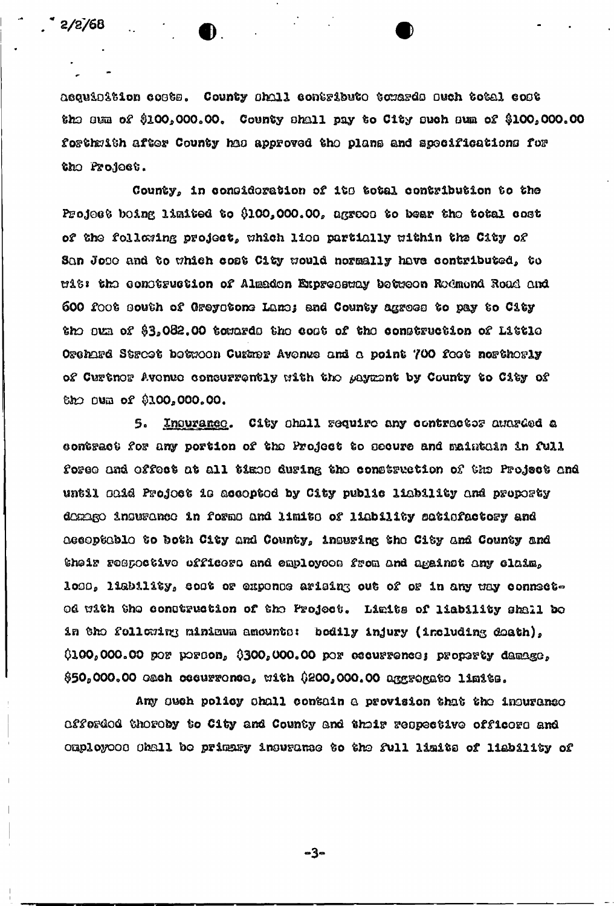acquialtion costs. County shall contribute towards such total cost the sum of  $$100,000.00$ . County shall pay to City such sum of  $$100,000.00$ forthmith after County has approved the plans and specifications for the Profect.

County, in consideration of its total contribution to the Project boing limited to \$100,000.00, agrees to bear the total cost of the following project, which lies partially within the City of San Jose and to which cost City would normally have contributed, to mit: the construction of Almaden Expressmay between Redmond Road and 600 foot south of Greystone Lane; and County agrees to pay to City the oun of \$3,082.00 towards the cost of the construction of Little Orchard Street between Curmer Avenue and a point 700 feet northerly of Curtnor Avenue consurrently with the payment by County to City of the oum of \$100,000.00.

Inourance. City shall require any contractor awarded a 5. contract for any portion of the Project to secure and maintain in full foree and effect at all times during the construction of the Project and until caid Projoct is accopted by City public liability and proporty demage insurance in forms and limits of liability satisfactory and Aecoptable to both City and County, insuring the City and County and their respoctive officers and employees from and against any claim, loss, liability, cost or expense arising out of or in any way connectod with the construction of the Project. Limits of liability shall be in the following minimum amounts: bodily injury (including death),  $0.000,000,00$  por porton,  $0.000,000,00$  por escurrence; property damage, \$50,000.00 cach cocurrence, with \$200,000.00 aggregate limits.

Any such policy shall contain a provision that the insurance afferded thereby to City and County and their respective officers and omployooo Ohall bo primary insurance to the full limits of liability of

-3-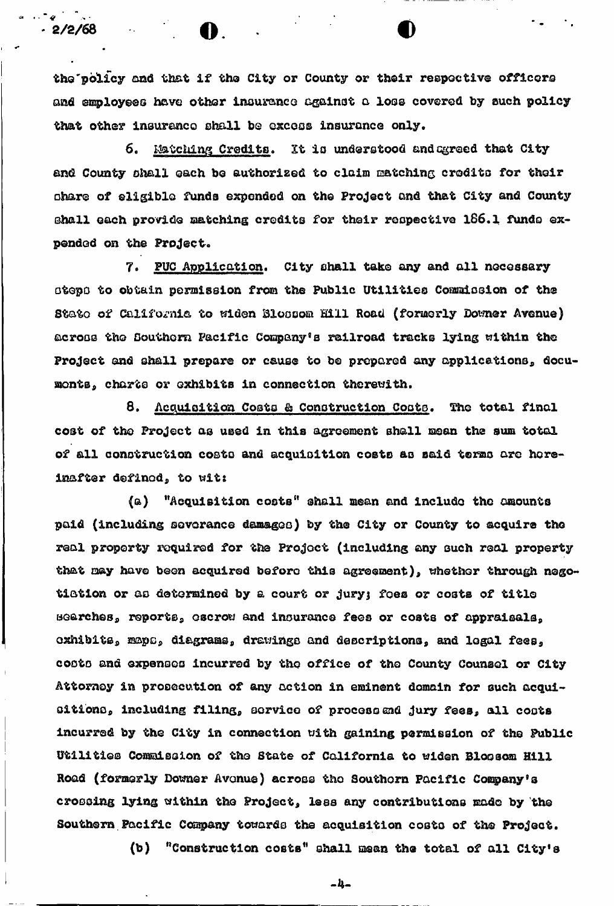the policy and that if the City or County or their respective officers and employees have other insurance against a loss covered by such policy that other insurance shall be excess insurance only.

 $2/2/68$  .  $\bullet$  .

 $\mathcal{L} = \mathcal{L} \times \mathcal{L}$ 

6. Matching Credits. It is understood and agreed that City and County shall each be authorized to claim matching credits for their ohare of eligible funds expended on the Project and that City and County shall each provide matching credits for their respective 166.1 funds expended on the Project.

7. PUC Application. City shall take any and all necessary steps to obtain permission from the Public Utilities Commission of the State of California to widen Blossom Hill Road (formerly Downer Avenue) across the Southern Pacific Company's railroad tracks lying within the Project and shall prepare or cause to be prepared any applications, documonts, charts or exhibits in connection therewith.

8. Acquisition Costs & Construction Costs. The total final cost of the Project as used in this agreement shall mean the sum total of all construction costo and acquisition costs as said terms are hereinafter defined, to wits

(a) "Acquisition costs" shall mean and include the amounts paid (including severance damages) by the City or County to acquire the real property required for the Project (including any ouch real property that may have been acquired before this agreement), whether through negotistion or as determined by a court or jury; foes or costs of title marches, reports, escrow and insurance fees or costs of appraisals, oxhibits, maps, diagrams, drawings and descriptions, and legal fees, codto and expenses incurred by the office of the County Counsel or City Attorney in prosecution of any action in eminent domain for such acquisitions, including filing, service of process and jury fees, all costs incurred by the City in connection uith gaining permission of the Public Utilities Commission of the State of California to widen Bloosom Hill Road (formerly Downer Avonue) across the Southern Pacific Company's crossing lying within the Project, less any contributions made by the Southern Pacific Company towards the acquisition costo of the Project.

(b) "Construction costs" shall mean the total of all City's

 $-1 -$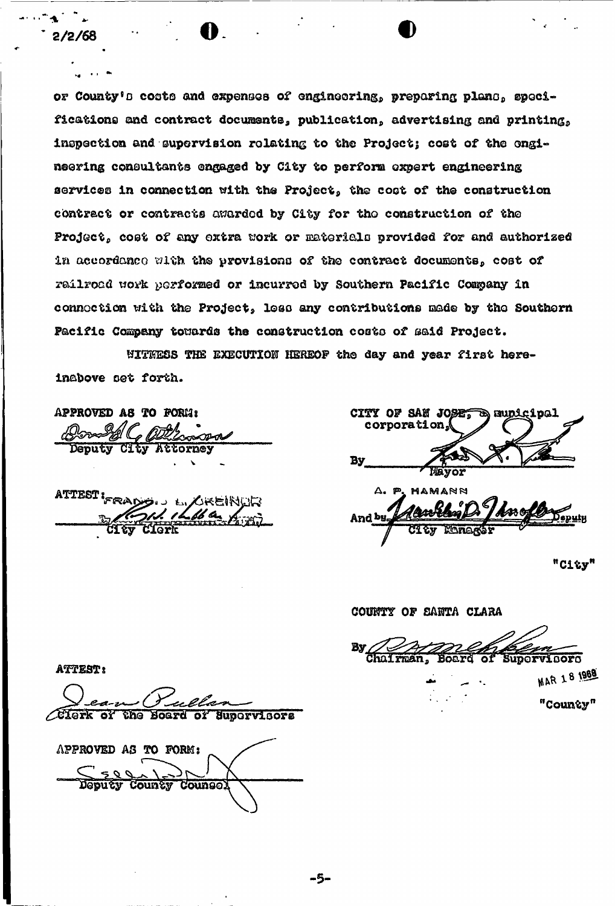or County's costs and expenses of engineering, preparing plans, specifications and contract documents, publication, advertising and printing, inspection and supervision relating to the Project; cost of the engineering consultants engaged by City to perform expert engineering services in connection with the Project, the cost of the construction contract or contracts awarded by City for tho construction of the Project, cost of any extra work or materials provided for and authorized in accordance with the provisions of the contract documents, cost of railroad work yorformed or incurred by Southern Pacific Company in connoction with the Project, loss any contributions made by the Southern Pacific Company towards the construction costs of said Project.

**2/3/68 o** fl

UITHESS THE EXECUTION HEREOF the day and year first hereinabove set forth.

APPROVED *AQ* TO FORMS *Collegand* V

attest i<sub>fra(</sub>

|         | CITY OF SAN JOSES & Bunicipal<br>corporation. |
|---------|-----------------------------------------------|
| Вy      | Mayor                                         |
|         | A. P. MAMANN                                  |
| And by- | AM GI                                         |
|         | Managor                                       |

"City"

COUNTY OP SAHTA CLARA By Chairman, Board of Supervisors **MAR 18 1968** "County"

**ATTEST:** 

Supervisors APPROVED AS TO FORM: Deputy County Counse.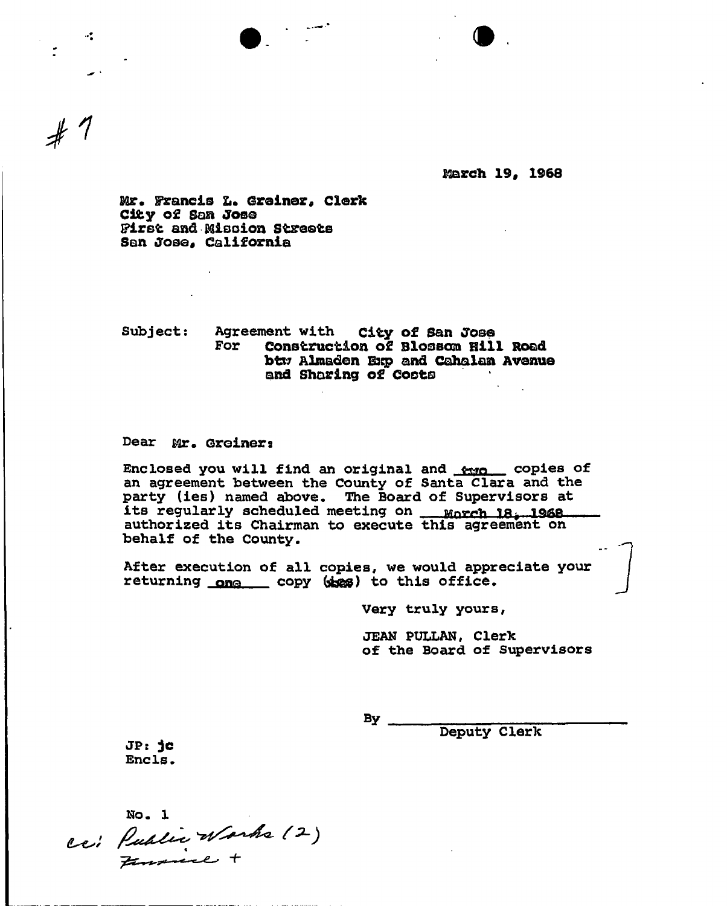

**Mareh 19, 1968** 

**Mr. Francis L. Greiner, Clerk City of Soft Jose First and Bfiisoion Streets San Jose, California** 

**Subject: Agreement with city of San Jose For Construction of Blossom Hill Road btw Almaden Exp and Cahalan Avenue and Shoring of Costs** 

## **Dear Mr. Groiners**

 $\mathcal{A}^{\bullet}_{\bullet}$  .

Enclosed you will find an original and **from** copies of **an agreement between the County of Santa Clara and the party (ies) named above. The Board of Supervisors at its regularly scheduled meeting on ja^ IQftPt authorized its Chairman to execute this agreement on behalf of the County,** 

**After execution of all copies, we would appreciate your returning** q**»**q **copy (&&£) to this office.** 

**Very truly yours,** 

**JEAN PULLAN, Clerk of the Board of Supervisors** 

**By** 

**Deputy Clerk** 

JP: jc **Ends** 

ce: Public Warks (2)<br>Finance +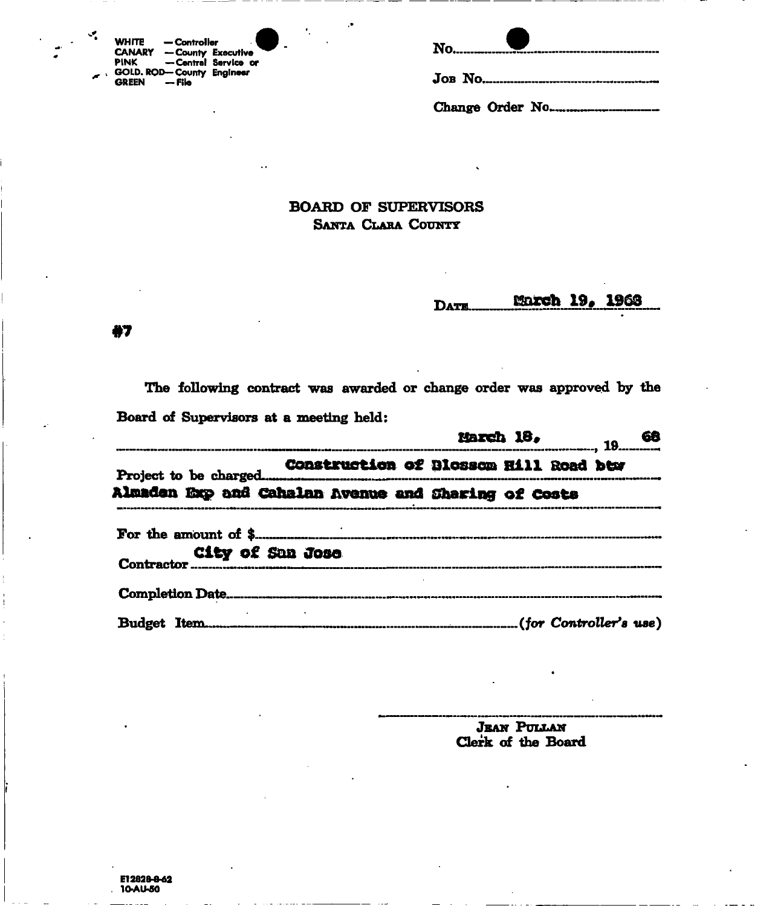|     | <b>WHITE</b> | — Controller                     |                     |
|-----|--------------|----------------------------------|---------------------|
|     |              | <b>CANARY - County Executive</b> |                     |
|     | PINK         |                                  | -Central Service or |
| ∴k. |              | GOLD. ROD-County Engineer        |                     |
|     | GREEN        | — File                           |                     |

| Jon No |  |  |  |
|--------|--|--|--|

## **BOARD OF SUPERVISORS** SANTA CLARA COUNTY

### March 19, 1963 DATE.

87

v.

The following contract was awarded or change order was approved by the Board of Supervisors at a meeting held:

|                                                     | <u>Harch 18, Jannesse 68</u> |  |  |
|-----------------------------------------------------|------------------------------|--|--|
|                                                     |                              |  |  |
| Almaden Exp and Cahalan Avenue and Sharing of Costs |                              |  |  |
|                                                     |                              |  |  |
| City of San Jose                                    |                              |  |  |
|                                                     |                              |  |  |
|                                                     |                              |  |  |

**JEAN PULLAN** Clerk of the Board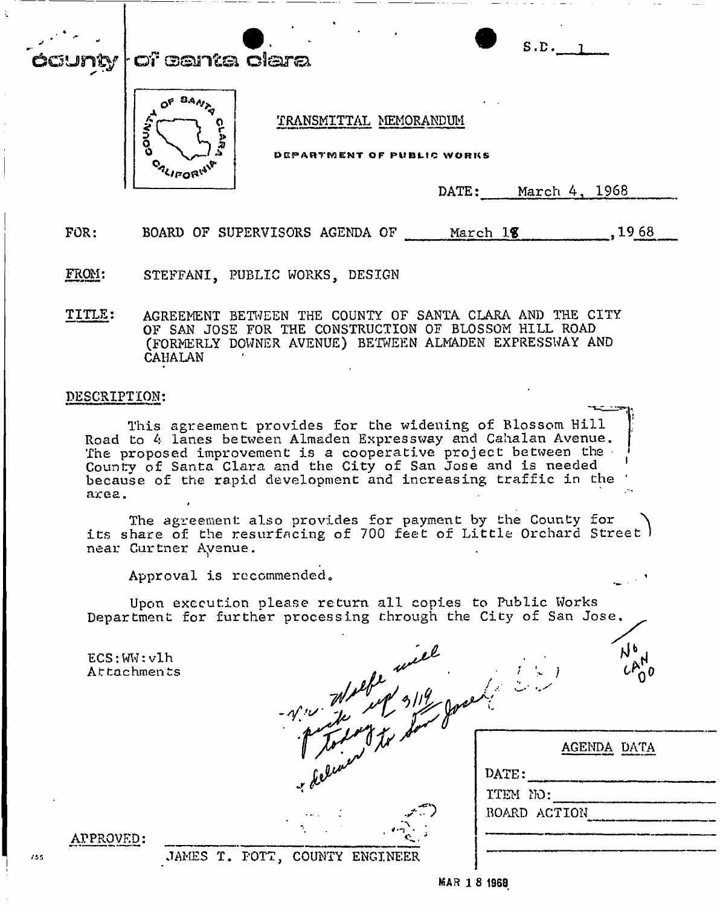# $\mathbf y$  | of centa clara



DEPARTMENT OF PUBLIC WORKS

DATE: March 4, 1968

 $S.D.$ <sub>1</sub>

FOR: BOARD OF SUPERVISORS AGENDA OF March 18, 1968

FROM: STEFFANI, PUBLIC WORKS, DESIGN

TITLE: AGREEMENT BETWEEN THE COUNTY OF SANTA CLARA AND THE CITY OF SAN JOSE FOR THE CONSTRUCTION OF BLOSSOM HILL ROAD (FORMERLY DOWNER AVENUE) BETWEEN ALMADEN EXPRESSWAY AND CAHALAN

## DESCRIPTION:

This agreement provides for the widening of Blossom Hill Road to 4 lanes between Almaden Expressway and Cahalan Avenue. The proposed improvement is a cooperative project between the County of Santa Clara and the City of San Jose and is needed because of the rapid development and increasing traffic in the ' area.

The agreement also provides for payment by the County for its share of the resurfacing of 700 feet of Little Orchard Street I near Curtner Ayenue.

Approval is recommended.

Upon execution please return all copies to Public Works<br>Department for further processing through the City of San Jose.

 $ECS:WW:v1h$ Attachments

| elle.<br>$\mathcal{N}$ is $\mathcal{N}$ | ۰,<br>$\mathcal{A}^{\mathcal{A}}$ |
|-----------------------------------------|-----------------------------------|
| $\overline{\mathcal{M}}$                | <b>AGEN</b>                       |
| r deluner                               | DATE:                             |
|                                         | ITEM NO:                          |
|                                         | BOARD ACTION                      |
|                                         |                                   |

على

| APPROVED:                                                           |  |
|---------------------------------------------------------------------|--|
| <b>Barry Processes and the Community of the Community Community</b> |  |

JAMES T. POTT, COUNTY ENGINEER

AGENDA DATA